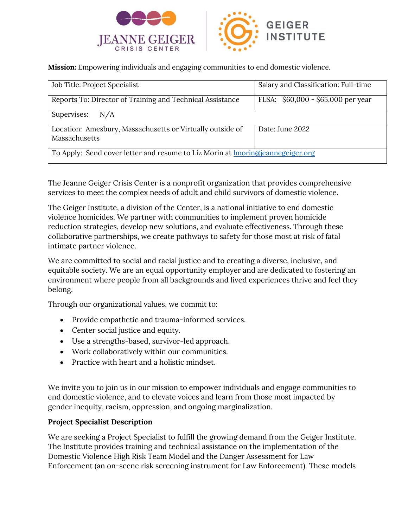



**Mission:** Empowering individuals and engaging communities to end domestic violence.

| Job Title: Project Specialist                                                         | Salary and Classification: Full-time |
|---------------------------------------------------------------------------------------|--------------------------------------|
| Reports To: Director of Training and Technical Assistance                             | FLSA: $$60,000 - $65,000$ per year   |
| Supervises: $N/A$                                                                     |                                      |
| Location: Amesbury, Massachusetts or Virtually outside of<br>Massachusetts            | Date: June 2022                      |
| To Apply: Send cover letter and resume to Liz Morin at <b>Imorin@jeannegeiger.org</b> |                                      |

The Jeanne Geiger Crisis Center is a nonprofit organization that provides comprehensive services to meet the complex needs of adult and child survivors of domestic violence.

The Geiger Institute, a division of the Center, is a national initiative to end domestic violence homicides. We partner with communities to implement proven homicide reduction strategies, develop new solutions, and evaluate effectiveness. Through these collaborative partnerships, we create pathways to safety for those most at risk of fatal intimate partner violence.

We are committed to social and racial justice and to creating a diverse, inclusive, and equitable society. We are an equal opportunity employer and are dedicated to fostering an environment where people from all backgrounds and lived experiences thrive and feel they belong.

Through our organizational values, we commit to:

- Provide empathetic and trauma-informed services.
- Center social justice and equity.
- Use a strengths-based, survivor-led approach.
- Work collaboratively within our communities.
- Practice with heart and a holistic mindset.

We invite you to join us in our mission to empower individuals and engage communities to end domestic violence, and to elevate voices and learn from those most impacted by gender inequity, racism, oppression, and ongoing marginalization.

## **Project Specialist Description**

We are seeking a Project Specialist to fulfill the growing demand from the Geiger Institute. The Institute provides training and technical assistance on the implementation of the Domestic Violence High Risk Team Model and the Danger Assessment for Law Enforcement (an on-scene risk screening instrument for Law Enforcement). These models